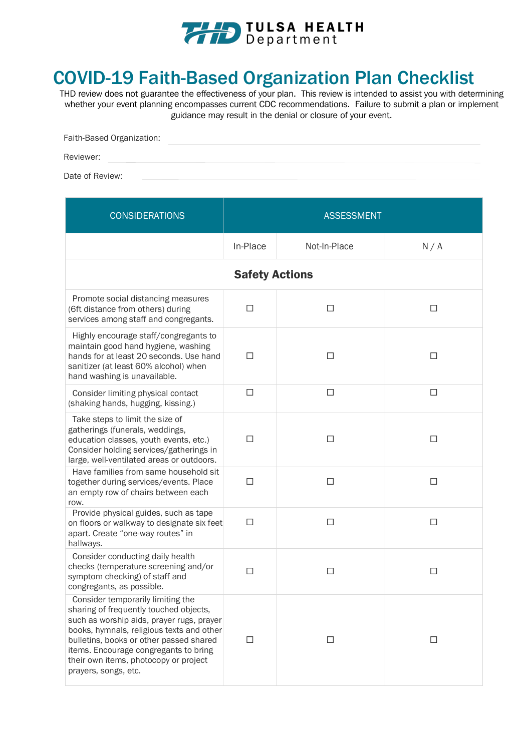

## COVID-19 Faith-Based Organization Plan Checklist

THD review does not guarantee the effectiveness of your plan. This review is intended to assist you with determining whether your event planning encompasses current CDC recommendations. Failure to submit a plan or implement guidance may result in the denial or closure of your event.

| Faith-Based Organization: |  |  |  |
|---------------------------|--|--|--|
| Reviewer:                 |  |  |  |

Date of Review:

| <b>CONSIDERATIONS</b>                                                                                                                                                                                                                                                                                                      | <b>ASSESSMENT</b>     |              |        |
|----------------------------------------------------------------------------------------------------------------------------------------------------------------------------------------------------------------------------------------------------------------------------------------------------------------------------|-----------------------|--------------|--------|
|                                                                                                                                                                                                                                                                                                                            | In-Place              | Not-In-Place | N/A    |
|                                                                                                                                                                                                                                                                                                                            | <b>Safety Actions</b> |              |        |
| Promote social distancing measures<br>(6ft distance from others) during<br>services among staff and congregants.                                                                                                                                                                                                           | □                     | □            | □      |
| Highly encourage staff/congregants to<br>maintain good hand hygiene, washing<br>hands for at least 20 seconds. Use hand<br>sanitizer (at least 60% alcohol) when<br>hand washing is unavailable.                                                                                                                           | П                     | □            | П      |
| Consider limiting physical contact<br>(shaking hands, hugging, kissing.)                                                                                                                                                                                                                                                   | $\Box$                | $\Box$       | $\Box$ |
| Take steps to limit the size of<br>gatherings (funerals, weddings,<br>education classes, youth events, etc.)<br>Consider holding services/gatherings in<br>large, well-ventilated areas or outdoors.                                                                                                                       | П                     | $\Box$       | □      |
| Have families from same household sit<br>together during services/events. Place<br>an empty row of chairs between each<br>row.                                                                                                                                                                                             | $\Box$                | $\Box$       | □      |
| Provide physical guides, such as tape<br>on floors or walkway to designate six feet<br>apart. Create "one-way routes" in<br>hallways.                                                                                                                                                                                      | $\Box$                | $\Box$       | □      |
| Consider conducting daily health<br>checks (temperature screening and/or<br>symptom checking) of staff and<br>congregants, as possible.                                                                                                                                                                                    | $\Box$                | □            | □      |
| Consider temporarily limiting the<br>sharing of frequently touched objects,<br>such as worship aids, prayer rugs, prayer<br>books, hymnals, religious texts and other<br>bulletins, books or other passed shared<br>items. Encourage congregants to bring<br>their own items, photocopy or project<br>prayers, songs, etc. | П                     | □            | □      |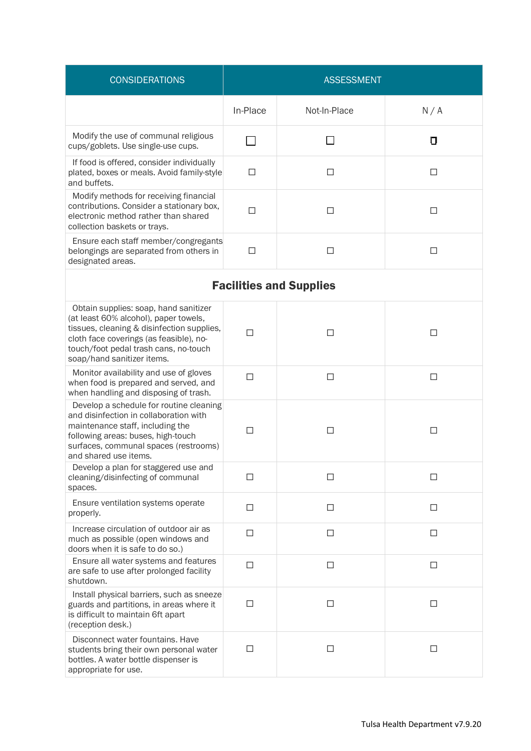| <b>CONSIDERATIONS</b>                                                                                                                                                                                                                          | <b>ASSESSMENT</b> |              |        |
|------------------------------------------------------------------------------------------------------------------------------------------------------------------------------------------------------------------------------------------------|-------------------|--------------|--------|
|                                                                                                                                                                                                                                                | In-Place          | Not-In-Place | N/A    |
| Modify the use of communal religious<br>cups/goblets. Use single-use cups.                                                                                                                                                                     |                   |              | 0      |
| If food is offered, consider individually<br>plated, boxes or meals. Avoid family-style<br>and buffets.                                                                                                                                        | П                 | □            | П      |
| Modify methods for receiving financial<br>contributions. Consider a stationary box,<br>electronic method rather than shared<br>collection baskets or trays.                                                                                    | П                 | $\Box$       | П      |
| Ensure each staff member/congregants<br>belongings are separated from others in<br>designated areas.                                                                                                                                           | $\Box$            | $\Box$       | П      |
| <b>Facilities and Supplies</b>                                                                                                                                                                                                                 |                   |              |        |
| Obtain supplies: soap, hand sanitizer<br>(at least 60% alcohol), paper towels,<br>tissues, cleaning & disinfection supplies,<br>cloth face coverings (as feasible), no-<br>touch/foot pedal trash cans, no-touch<br>soap/hand sanitizer items. | П                 | П            | □      |
| Monitor availability and use of gloves<br>when food is prepared and served, and<br>when handling and disposing of trash.                                                                                                                       | П                 | $\Box$       | $\Box$ |
| Develop a schedule for routine cleaning<br>and disinfection in collaboration with<br>maintenance staff, including the<br>following areas: buses, high-touch<br>surfaces, communal spaces (restrooms)<br>and shared use items.                  | П                 | П            | П      |
| Develop a plan for staggered use and<br>cleaning/disinfecting of communal<br>spaces.                                                                                                                                                           | П                 | П            | П      |
| Ensure ventilation systems operate<br>properly.                                                                                                                                                                                                | П                 | $\Box$       | $\Box$ |
| Increase circulation of outdoor air as<br>much as possible (open windows and<br>doors when it is safe to do so.)                                                                                                                               | П                 | □            | $\Box$ |
| Ensure all water systems and features<br>are safe to use after prolonged facility<br>shutdown.                                                                                                                                                 | $\Box$            | $\Box$       | □      |
| Install physical barriers, such as sneeze<br>guards and partitions, in areas where it<br>is difficult to maintain 6ft apart<br>(reception desk.)                                                                                               | $\Box$            | $\Box$       | $\Box$ |
| Disconnect water fountains. Have<br>students bring their own personal water<br>bottles. A water bottle dispenser is<br>appropriate for use.                                                                                                    | П                 | □            | П      |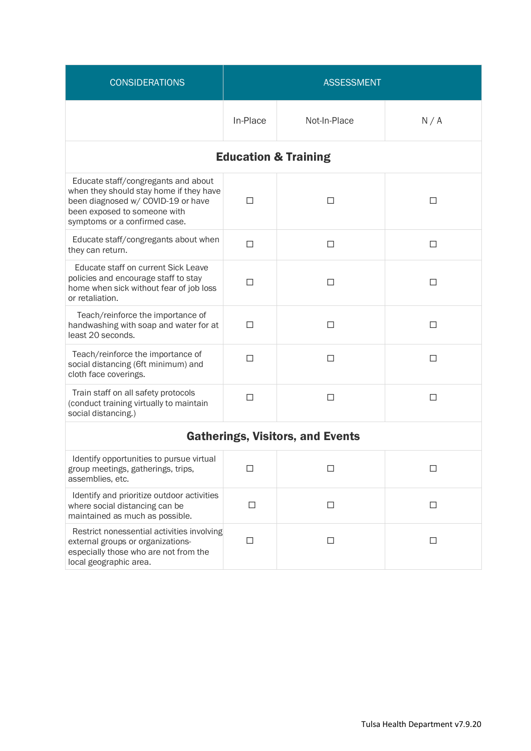| <b>CONSIDERATIONS</b>                                                                                                                                                                 | <b>ASSESSMENT</b>               |              |        |  |
|---------------------------------------------------------------------------------------------------------------------------------------------------------------------------------------|---------------------------------|--------------|--------|--|
|                                                                                                                                                                                       | In-Place                        | Not-In-Place | N/A    |  |
|                                                                                                                                                                                       | <b>Education &amp; Training</b> |              |        |  |
| Educate staff/congregants and about<br>when they should stay home if they have<br>been diagnosed w/ COVID-19 or have<br>been exposed to someone with<br>symptoms or a confirmed case. | п                               | П            | □      |  |
| Educate staff/congregants about when<br>they can return.                                                                                                                              | П                               | П            | $\Box$ |  |
| Educate staff on current Sick Leave<br>policies and encourage staff to stay<br>home when sick without fear of job loss<br>or retaliation.                                             | П                               | □            | □      |  |
| Teach/reinforce the importance of<br>handwashing with soap and water for at<br>least 20 seconds.                                                                                      | П                               | П            | П      |  |
| Teach/reinforce the importance of<br>social distancing (6ft minimum) and<br>cloth face coverings.                                                                                     | П                               | $\Box$       | □      |  |
| Train staff on all safety protocols<br>(conduct training virtually to maintain<br>social distancing.)                                                                                 | П                               | П            | П      |  |
| <b>Gatherings, Visitors, and Events</b>                                                                                                                                               |                                 |              |        |  |
| Identify opportunities to pursue virtual<br>group meetings, gatherings, trips,<br>assemblies, etc.                                                                                    | $\Box$                          | $\Box$       | □      |  |
| Identify and prioritize outdoor activities<br>where social distancing can be<br>maintained as much as possible.                                                                       | $\Box$                          | $\Box$       | $\Box$ |  |
| Restrict nonessential activities involving<br>external groups or organizations-<br>especially those who are not from the<br>local geographic area.                                    | $\Box$                          | $\Box$       | $\Box$ |  |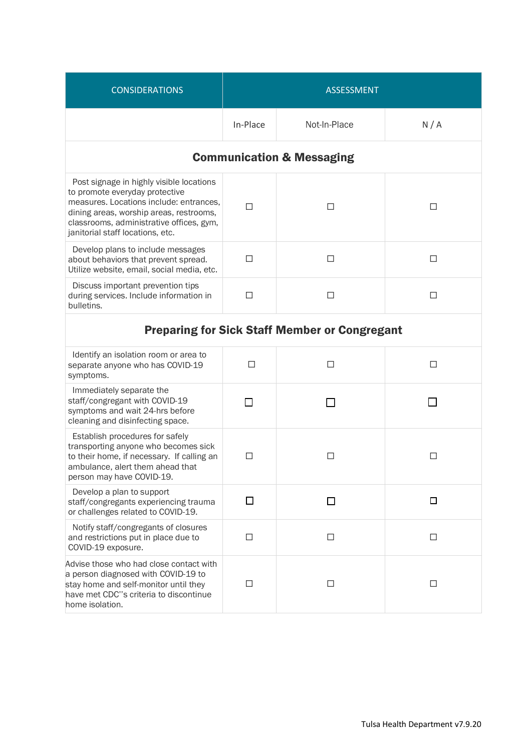| <b>CONSIDERATIONS</b>                                                                                                                                                                                                                            | <b>ASSESSMENT</b> |                                                      |        |
|--------------------------------------------------------------------------------------------------------------------------------------------------------------------------------------------------------------------------------------------------|-------------------|------------------------------------------------------|--------|
|                                                                                                                                                                                                                                                  | In-Place          | Not-In-Place                                         | N/A    |
|                                                                                                                                                                                                                                                  |                   | <b>Communication &amp; Messaging</b>                 |        |
| Post signage in highly visible locations<br>to promote everyday protective<br>measures. Locations include: entrances,<br>dining areas, worship areas, restrooms,<br>classrooms, administrative offices, gym,<br>janitorial staff locations, etc. | П                 | П                                                    | □      |
| Develop plans to include messages<br>about behaviors that prevent spread.<br>Utilize website, email, social media, etc.                                                                                                                          | □                 | □                                                    | □      |
| Discuss important prevention tips<br>during services. Include information in<br>bulletins.                                                                                                                                                       | П                 | П                                                    | □      |
|                                                                                                                                                                                                                                                  |                   | <b>Preparing for Sick Staff Member or Congregant</b> |        |
| Identify an isolation room or area to<br>separate anyone who has COVID-19<br>symptoms.                                                                                                                                                           | $\Box$            | $\Box$                                               | $\Box$ |
| Immediately separate the<br>staff/congregant with COVID-19<br>symptoms and wait 24-hrs before<br>cleaning and disinfecting space.                                                                                                                | П                 |                                                      |        |
| Establish procedures for safely<br>transporting anyone who becomes sick<br>to their home, if necessary. If calling an<br>ambulance, alert them ahead that<br>person may have COVID-19.                                                           | $\Box$            | П                                                    | □      |
| Develop a plan to support<br>staff/congregants experiencing trauma<br>or challenges related to COVID-19.                                                                                                                                         | □                 | □                                                    | □      |
| Notify staff/congregants of closures<br>and restrictions put in place due to<br>COVID-19 exposure.                                                                                                                                               | $\Box$            | $\Box$                                               | □      |
| Advise those who had close contact with<br>a person diagnosed with COVID-19 to<br>stay home and self-monitor until they<br>have met CDC"s criteria to discontinue<br>home isolation.                                                             | $\Box$            | $\Box$                                               | $\Box$ |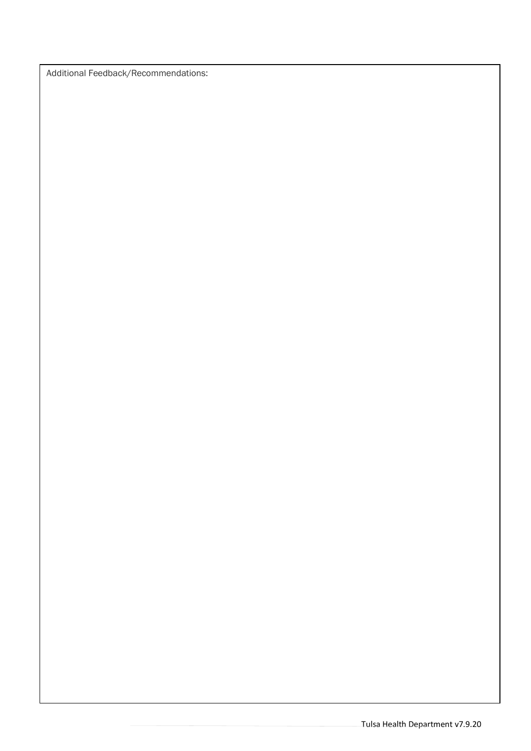Additional Feedback/Recommendations: